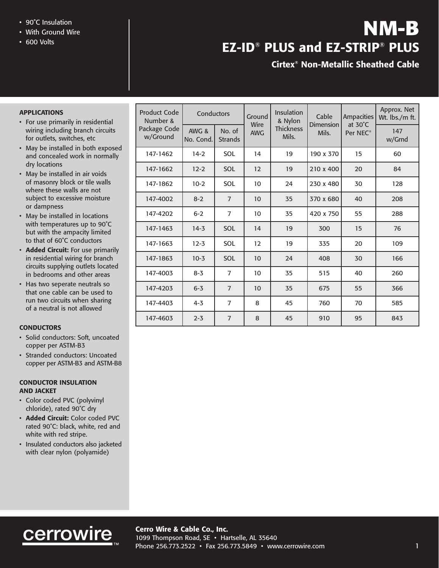- 
- With Ground Wire
- 600 Volts

# $\cdot$  90°C Insulation<br>• With Ground Wire  $\blacksquare$ **EZ-ID**® **PLUS and EZ-STRIP**® **PLUS**

# **Cirtex® Non-Metallic Sheathed Cable**

### **APPLICATIONS**

- For use primarily in residential wiring including branch circuits for outlets, switches, etc
- May be installed in both exposed and concealed work in normally dry locations
- May be installed in air voids of masonry block or tile walls where these walls are not subject to excessive moisture or dampness
- May be installed in locations with temperatures up to 90˚C but with the ampacity limited to that of 60˚C conductors
- **Added Circuit:** For use primarily in residential wiring for branch circuits supplying outlets located in bedrooms and other areas
- Has two seperate neutrals so that one cable can be used to run two circuits when sharing of a neutral is not allowed

### **CONDUCTORS**

- Solid conductors: Soft, uncoated copper per ASTM-B3
- Stranded conductors: Uncoated copper per ASTM-B3 and ASTM-B8

#### **CONDUCTOR INSULATION AND JACKET**

- Color coded PVC (polyvinyl chloride), rated 90˚C dry
- **Added Circuit:** Color coded PVC rated 90˚C: black, white, red and white with red stripe.
- Insulated conductors also jacketed with clear nylon (polyamide)

| Product Code<br>Number &<br>Package Code<br>w/Ground | Conductors         |                          | Ground<br>Wire | Insulation<br>& Nylon     | Cable              | <b>Ampacities</b>   | Approx. Net<br>Wt. lbs./m ft. |
|------------------------------------------------------|--------------------|--------------------------|----------------|---------------------------|--------------------|---------------------|-------------------------------|
|                                                      | AWG &<br>No. Cond. | No. of<br><b>Strands</b> | <b>AWG</b>     | <b>Thickness</b><br>Mils. | Dimension<br>Mils. | at 30°C<br>Per NEC® | 147<br>w/Grnd                 |
| 147-1462                                             | $14-2$             | SOL                      | 14             | 19                        | 190 x 370          | 15                  | 60                            |
| 147-1662                                             | $12 - 2$           | SOL                      | 12             | 19                        | 210 x 400          | 20                  | 84                            |
| 147-1862                                             | $10-2$             | SOL                      | 10             | 24                        | 230 x 480          | 30                  | 128                           |
| 147-4002                                             | $8 - 2$            | $\overline{7}$           | 10             | 35                        | 370 x 680          | 40                  | 208                           |
| 147-4202                                             | $6 - 2$            | $\overline{7}$           | 10             | 35                        | 420 x 750          | 55                  | 288                           |
| 147-1463                                             | $14 - 3$           | SOL                      | 14             | 19                        | 300                | 15                  | 76                            |
| 147-1663                                             | $12 - 3$           | SOL                      | 12             | 19                        | 335                | 20                  | 109                           |
| 147-1863                                             | $10-3$             | SOL                      | 10             | 24                        | 408                | 30                  | 166                           |
| 147-4003                                             | $8 - 3$            | $\overline{7}$           | 10             | 35                        | 515                | 40                  | 260                           |
| 147-4203                                             | $6 - 3$            | $\overline{7}$           | 10             | 35                        | 675                | 55                  | 366                           |
| 147-4403                                             | $4 - 3$            | $\overline{7}$           | 8              | 45                        | 760                | 70                  | 585                           |
| 147-4603                                             | $2 - 3$            | $\overline{7}$           | 8              | 45                        | 910                | 95                  | 843                           |

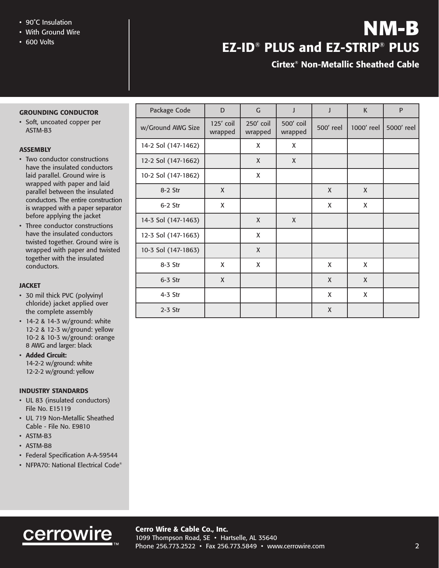- 90˚C Insulation
- With Ground Wire
- 600 Volts

# **NM-B EZ-ID**® **PLUS and EZ-STRIP**® **PLUS**

# **Cirtex® Non-Metallic Sheathed Cable**

## **GROUNDING CONDUCTOR**

• Soft, uncoated copper per ASTM-B3

## **ASSEMBLY**

- Two conductor constructions have the insulated conductors laid parallel. Ground wire is wrapped with paper and laid parallel between the insulated conductors. The entire construction is wrapped with a paper separator before applying the jacket
- Three conductor constructions have the insulated conductors twisted together. Ground wire is wrapped with paper and twisted together with the insulated conductors.

### **JACKET**

- 30 mil thick PVC (polyvinyl chloride) jacket applied over the complete assembly
- 14-2 & 14-3 w/ground: white 12-2 & 12-3 w/ground: yellow 10-2 & 10-3 w/ground: orange 8 AWG and larger: black
- **Added Circuit:** 14-2-2 w/ground: white 12-2-2 w/ground: yellow

#### **INDUSTRY STANDARDS**

- UL 83 (insulated conductors) File No. E15119
- UL 719 Non-Metallic Sheathed Cable - File No. E9810
- ASTM-B3
- ASTM-B8
- Federal Specification A-A-59544
- NFPA70: National Electrical Code®

| Package Code        | D                    | $\mathsf G$          | J                    | J            | K          | ${\sf P}$  |
|---------------------|----------------------|----------------------|----------------------|--------------|------------|------------|
| w/Ground AWG Size   | 125' coil<br>wrapped | 250' coil<br>wrapped | 500' coil<br>wrapped | 500' reel    | 1000' reel | 5000' reel |
| 14-2 Sol (147-1462) |                      | X                    | X                    |              |            |            |
| 12-2 Sol (147-1662) |                      | X                    | X                    |              |            |            |
| 10-2 Sol (147-1862) |                      | X                    |                      |              |            |            |
| 8-2 Str             | X                    |                      |                      | X            | X          |            |
| $6-2$ Str           | X                    |                      |                      | X            | X          |            |
| 14-3 Sol (147-1463) |                      | $\mathsf{X}$         | $\mathsf{X}$         |              |            |            |
| 12-3 Sol (147-1663) |                      | X                    |                      |              |            |            |
| 10-3 Sol (147-1863) |                      | X                    |                      |              |            |            |
| 8-3 Str             | X                    | X                    |                      | X            | X          |            |
| $6-3$ Str           | X                    |                      |                      | $\mathsf{X}$ | X          |            |
| 4-3 Str             |                      |                      |                      | X            | X          |            |
| $2-3$ Str           |                      |                      |                      | X            |            |            |